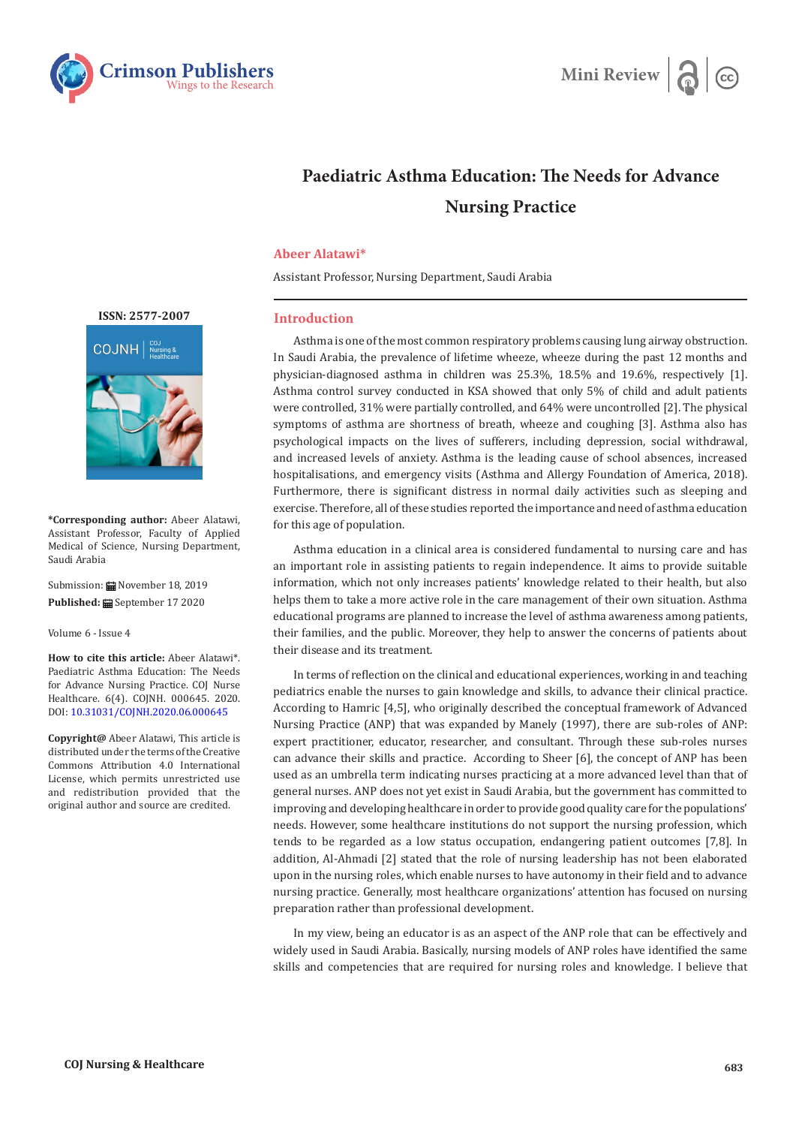



## **Paediatric Asthma Education: The Needs for Advance Nursing Practice**

## **Abeer Alatawi\***

Assistant Professor, Nursing Department, Saudi Arabia

## **Introduction**

Asthma is one of the most common respiratory problems causing lung airway obstruction. In Saudi Arabia, the prevalence of lifetime wheeze, wheeze during the past 12 months and physician-diagnosed asthma in children was 25.3%, 18.5% and 19.6%, respectively [1]. Asthma control survey conducted in KSA showed that only 5% of child and adult patients were controlled, 31% were partially controlled, and 64% were uncontrolled [2]. The physical symptoms of asthma are shortness of breath, wheeze and coughing [3]. Asthma also has psychological impacts on the lives of sufferers, including depression, social withdrawal, and increased levels of anxiety. Asthma is the leading cause of school absences, increased hospitalisations, and emergency visits (Asthma and Allergy Foundation of America, 2018). Furthermore, there is significant distress in normal daily activities such as sleeping and exercise. Therefore, all of these studies reported the importance and need of asthma education for this age of population.

Asthma education in a clinical area is considered fundamental to nursing care and has an important role in assisting patients to regain independence. It aims to provide suitable information, which not only increases patients' knowledge related to their health, but also helps them to take a more active role in the care management of their own situation. Asthma educational programs are planned to increase the level of asthma awareness among patients, their families, and the public. Moreover, they help to answer the concerns of patients about their disease and its treatment.

In terms of reflection on the clinical and educational experiences, working in and teaching pediatrics enable the nurses to gain knowledge and skills, to advance their clinical practice. According to Hamric [4,5], who originally described the conceptual framework of Advanced Nursing Practice (ANP) that was expanded by Manely (1997), there are sub-roles of ANP: expert practitioner, educator, researcher, and consultant. Through these sub-roles nurses can advance their skills and practice. According to Sheer [6], the concept of ANP has been used as an umbrella term indicating nurses practicing at a more advanced level than that of general nurses. ANP does not yet exist in Saudi Arabia, but the government has committed to improving and developing healthcare in order to provide good quality care for the populations' needs. However, some healthcare institutions do not support the nursing profession, which tends to be regarded as a low status occupation, endangering patient outcomes [7,8]. In addition, Al-Ahmadi [2] stated that the role of nursing leadership has not been elaborated upon in the nursing roles, which enable nurses to have autonomy in their field and to advance nursing practice. Generally, most healthcare organizations' attention has focused on nursing preparation rather than professional development.

In my view, being an educator is as an aspect of the ANP role that can be effectively and widely used in Saudi Arabia. Basically, nursing models of ANP roles have identified the same skills and competencies that are required for nursing roles and knowledge. I believe that



**\*Corresponding author:** Abeer Alatawi, Assistant Professor, Faculty of Applied Medical of Science, Nursing Department, Saudi Arabia

Submission: 2019 November 18, 2019 Published: **■** September 17 2020

Volume 6 - Issue 4

**How to cite this article:** Abeer Alatawi\*. Paediatric Asthma Education: The Needs for Advance Nursing Practice. COJ Nurse Healthcare. 6(4). COJNH. 000645. 2020. DOI: [10.31031/COJNH.2020.06.000645](http://dx.doi.org/10.31031/COJNH.2020.06.000645)

**Copyright@** Abeer Alatawi, This article is distributed under the terms of the Creative Commons Attribution 4.0 International License, which permits unrestricted use and redistribution provided that the original author and source are credited.